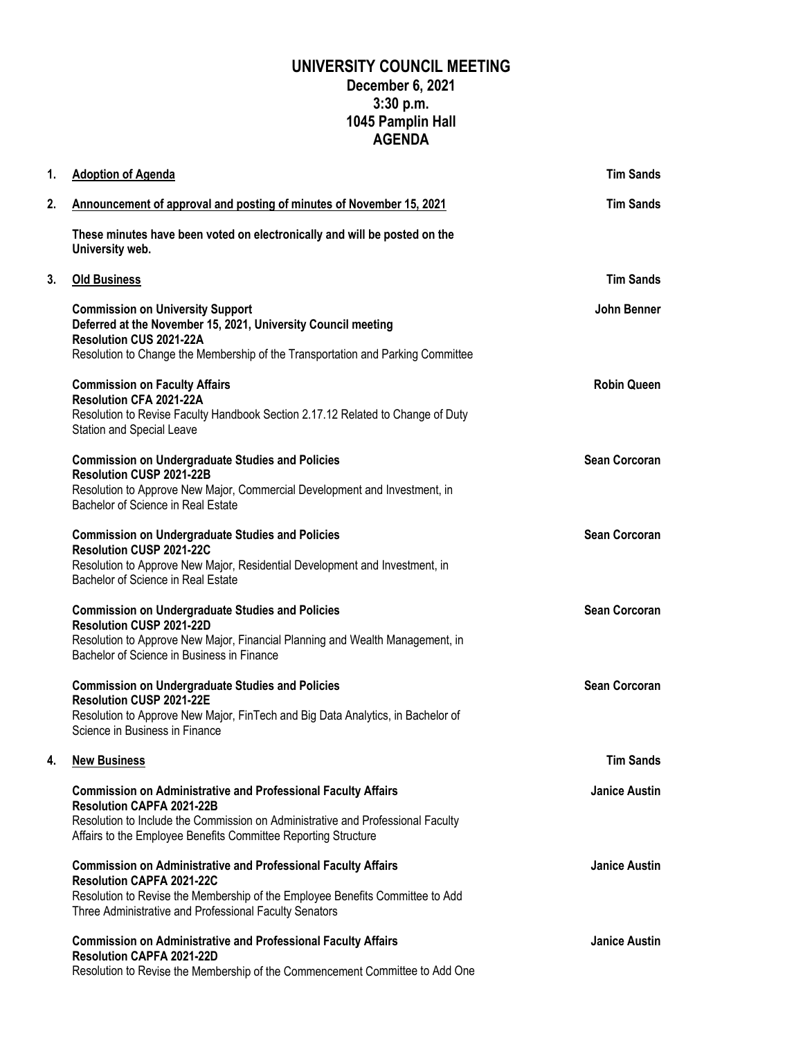## **UNIVERSITY COUNCIL MEETING December 6, 2021 3:30 p.m. 1045 Pamplin Hall AGENDA**

| 1. | <b>Adoption of Agenda</b>                                                                                                                                                                                                                                     | <b>Tim Sands</b>     |
|----|---------------------------------------------------------------------------------------------------------------------------------------------------------------------------------------------------------------------------------------------------------------|----------------------|
| 2. | Announcement of approval and posting of minutes of November 15, 2021                                                                                                                                                                                          | <b>Tim Sands</b>     |
|    | These minutes have been voted on electronically and will be posted on the<br>University web.                                                                                                                                                                  |                      |
| 3. | <b>Old Business</b>                                                                                                                                                                                                                                           | <b>Tim Sands</b>     |
|    | <b>Commission on University Support</b><br>Deferred at the November 15, 2021, University Council meeting<br>Resolution CUS 2021-22A<br>Resolution to Change the Membership of the Transportation and Parking Committee                                        | John Benner          |
|    | <b>Commission on Faculty Affairs</b><br>Resolution CFA 2021-22A<br>Resolution to Revise Faculty Handbook Section 2.17.12 Related to Change of Duty<br>Station and Special Leave                                                                               | <b>Robin Queen</b>   |
|    | <b>Commission on Undergraduate Studies and Policies</b><br>Resolution CUSP 2021-22B<br>Resolution to Approve New Major, Commercial Development and Investment, in<br>Bachelor of Science in Real Estate                                                       | <b>Sean Corcoran</b> |
|    | <b>Commission on Undergraduate Studies and Policies</b><br>Resolution CUSP 2021-22C<br>Resolution to Approve New Major, Residential Development and Investment, in<br>Bachelor of Science in Real Estate                                                      | <b>Sean Corcoran</b> |
|    | <b>Commission on Undergraduate Studies and Policies</b><br>Resolution CUSP 2021-22D<br>Resolution to Approve New Major, Financial Planning and Wealth Management, in<br>Bachelor of Science in Business in Finance                                            | <b>Sean Corcoran</b> |
|    | <b>Commission on Undergraduate Studies and Policies</b><br>Resolution CUSP 2021-22E<br>Resolution to Approve New Major, FinTech and Big Data Analytics, in Bachelor of<br>Science in Business in Finance                                                      | <b>Sean Corcoran</b> |
| 4. | <b>New Business</b>                                                                                                                                                                                                                                           | Tim Sands            |
|    | <b>Commission on Administrative and Professional Faculty Affairs</b><br><b>Resolution CAPFA 2021-22B</b><br>Resolution to Include the Commission on Administrative and Professional Faculty<br>Affairs to the Employee Benefits Committee Reporting Structure | <b>Janice Austin</b> |
|    | <b>Commission on Administrative and Professional Faculty Affairs</b><br><b>Resolution CAPFA 2021-22C</b><br>Resolution to Revise the Membership of the Employee Benefits Committee to Add<br>Three Administrative and Professional Faculty Senators           | <b>Janice Austin</b> |
|    | <b>Commission on Administrative and Professional Faculty Affairs</b><br><b>Resolution CAPFA 2021-22D</b><br>Resolution to Revise the Membership of the Commencement Committee to Add One                                                                      | <b>Janice Austin</b> |